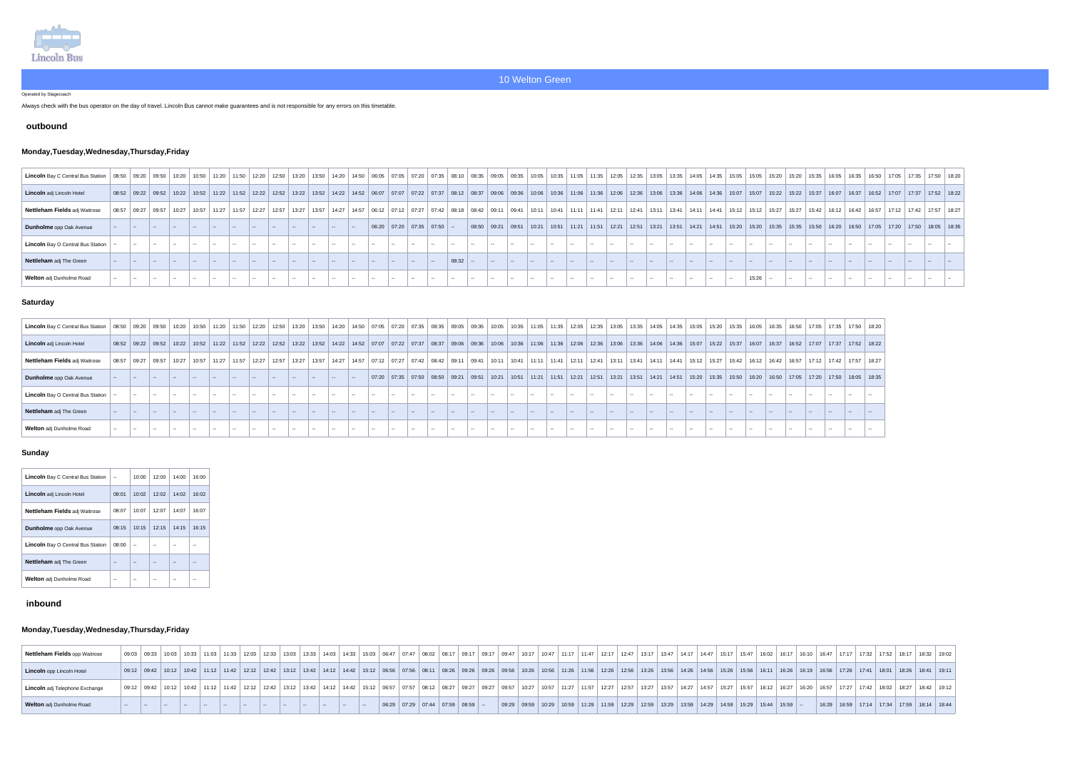

Operated by Stagecoach

Always check with the bus operator on the day of travel. Lincoln Bus cannot make guarantees and is not responsible for any errors on this timetable.

### **outbound**

## **Monday,Tuesday,Wednesday,Thursday,Friday**

| Lincoln Bay C Central Bus Station   08:50   09:20   09:30   09:20   09:30   10:20   10:30   11:20   11:20   11:20   12:20   12:30   13:30   13:30   08:35   09:35   09:35   09:35   09:35   09:35   09:35   09:35   13:05   13 |                                                                                                                                                                                                                                 |  |  |  |  |  |  |  |       |  |  |  |  |  |  |  |       |  |  |  |                                                                                                                                                                                                       |  |  |
|--------------------------------------------------------------------------------------------------------------------------------------------------------------------------------------------------------------------------------|---------------------------------------------------------------------------------------------------------------------------------------------------------------------------------------------------------------------------------|--|--|--|--|--|--|--|-------|--|--|--|--|--|--|--|-------|--|--|--|-------------------------------------------------------------------------------------------------------------------------------------------------------------------------------------------------------|--|--|
| Lincoln adj Lincoln Hotel                                                                                                                                                                                                      | 08:52 09:22 09:32 10:32 10:32 10:32 11:22 11:52 12:22 12:52 12:32 13:22 13:32 14:32 06:07 07:07 07:22 07:37 08:37 09:06 09:36 10:06 10:36 11:06 11:36 12:06 13:36 14:06 14:36 15:07 15:22 15:27 13:52 16:37 16:07 17:37 17:52 1 |  |  |  |  |  |  |  |       |  |  |  |  |  |  |  |       |  |  |  |                                                                                                                                                                                                       |  |  |
| Nettleham Fields adj Waitrose                                                                                                                                                                                                  | 08:57   09:27   09:57   10:27   10:57   11:27   11:37   12:27   12:27   12:37   13:27   13:37   13:57   14:57   14:57   14:57   14:57   14:57   06:12   07:12   07:27   07:42   08:18   08:42   09:11   09:41   10:11   12:41   |  |  |  |  |  |  |  |       |  |  |  |  |  |  |  |       |  |  |  |                                                                                                                                                                                                       |  |  |
| Dunholme opp Oak Avenue                                                                                                                                                                                                        |                                                                                                                                                                                                                                 |  |  |  |  |  |  |  |       |  |  |  |  |  |  |  |       |  |  |  | 08:50   09:21   09:51   10:21   10:51   11:21   11:51   12:21   12:51   13:21   13:51   14:21   14:51   15:20   15:30   15:35   15:35   15:50   16:50   16:50   17:05   17:20   17:50   18:05   18:35 |  |  |
| Lincoln Bay O Central Bus Station                                                                                                                                                                                              |                                                                                                                                                                                                                                 |  |  |  |  |  |  |  |       |  |  |  |  |  |  |  |       |  |  |  |                                                                                                                                                                                                       |  |  |
| Nettleham adj The Green                                                                                                                                                                                                        |                                                                                                                                                                                                                                 |  |  |  |  |  |  |  | 08:32 |  |  |  |  |  |  |  |       |  |  |  |                                                                                                                                                                                                       |  |  |
| Welton adj Dunholme Road                                                                                                                                                                                                       |                                                                                                                                                                                                                                 |  |  |  |  |  |  |  |       |  |  |  |  |  |  |  | 15:26 |  |  |  |                                                                                                                                                                                                       |  |  |
|                                                                                                                                                                                                                                |                                                                                                                                                                                                                                 |  |  |  |  |  |  |  |       |  |  |  |  |  |  |  |       |  |  |  |                                                                                                                                                                                                       |  |  |

### **Saturday**

| <b>Lincoln</b> Bay C Central Bus Station   08:50   09:20   09:50   10:20   10:50   11:20   11:50   11:20   11:50   12:20   12:50   12:20   12:50   13:50   13:50   13:50   14:20   13:50   09:35   09:05   09:35   10:05   12:05 |  |                                                                                                                                                                                                                                 |               |  |  |  |  |  |  |                                                                                                                                                                                                                       |  |  |  |  |  |  |  |  |  |  |  |
|----------------------------------------------------------------------------------------------------------------------------------------------------------------------------------------------------------------------------------|--|---------------------------------------------------------------------------------------------------------------------------------------------------------------------------------------------------------------------------------|---------------|--|--|--|--|--|--|-----------------------------------------------------------------------------------------------------------------------------------------------------------------------------------------------------------------------|--|--|--|--|--|--|--|--|--|--|--|
| Lincoln adj Lincoln Hotel                                                                                                                                                                                                        |  | 08:52 09:22 09:52 10:22 10:32 11:22 11:52 12:22 12:52 13:22 13:52 14:22 14:52 07:07 07:22 07:37 08:37 09:06 09:36 10:06 10:36 11:06 11:36 12:06 13:36 13:06 13:36 14:06 14:36 15:07 15:22 15:37 16:07 16:37 16:52 17:07 17:37 1 |               |  |  |  |  |  |  |                                                                                                                                                                                                                       |  |  |  |  |  |  |  |  |  |  |  |
| Nettleham Fields adj Waitrose                                                                                                                                                                                                    |  | 08:57   09:27   09:57   10:27   10:57   11:27   11:57   12:27   12:57   13:27   13:57   14:27   14:57   07:12   07:27   07:42   08:42   09:11   09:41   10:11   11:41   12:11   12:41   13:41   14:41   15:12   15:27   15:27   |               |  |  |  |  |  |  |                                                                                                                                                                                                                       |  |  |  |  |  |  |  |  |  |  |  |
| Dunholme opp Oak Avenue                                                                                                                                                                                                          |  |                                                                                                                                                                                                                                 |               |  |  |  |  |  |  | 07:20   07:35   07:50   08:50   09:21   09:51   10:21   10:51   11:21   11:51   12:21   12:51   13:21   13:51   14:21   14:51   15:20   15:35   15:50   16:20   16:50   17:05   17:05   17:20   17:50   18:05   18:35 |  |  |  |  |  |  |  |  |  |  |  |
| <b>Lincoln</b> Bay O Central Bus Station                                                                                                                                                                                         |  |                                                                                                                                                                                                                                 | $\sim$ $\sim$ |  |  |  |  |  |  |                                                                                                                                                                                                                       |  |  |  |  |  |  |  |  |  |  |  |
| Nettleham adj The Green                                                                                                                                                                                                          |  |                                                                                                                                                                                                                                 |               |  |  |  |  |  |  |                                                                                                                                                                                                                       |  |  |  |  |  |  |  |  |  |  |  |
| <b>Welton</b> adj Dunholme Road                                                                                                                                                                                                  |  |                                                                                                                                                                                                                                 |               |  |  |  |  |  |  |                                                                                                                                                                                                                       |  |  |  |  |  |  |  |  |  |  |  |

### **Sunday**

| <b>Lincoln</b> Bay C Central Bus Station |       | 10:00 | 12:00 | 14:00 | 16:00 |
|------------------------------------------|-------|-------|-------|-------|-------|
| <b>Lincoln</b> adj Lincoln Hotel         | 08:01 | 10:02 | 12:02 | 14:02 | 16:02 |
| <b>Nettleham Fields adj Waitrose</b>     | 08:07 | 10:07 | 12:07 | 14:07 | 16:07 |
| <b>Dunholme</b> opp Oak Avenue           | 08:15 | 10:15 | 12:15 | 14:15 | 16:15 |
| <b>Lincoln</b> Bay O Central Bus Station | 08:00 |       |       |       |       |
| <b>Nettleham</b> adj The Green           |       |       |       |       |       |
| <b>Welton</b> adj Dunholme Road          |       |       |       |       |       |

## **inbound**

# **Monday,Tuesday,Wednesday,Thursday,Friday**

| Nettleham Fields opp Waitrose   |  |  |  |  |  |  |  |                                                                               |  |                                                                                                                               |  |  |  |  |  |  |  |  |  | 09:03 10:03 10:03 10:03 11:03 11:03 11:33 12:03 12:33 12:03 12:33 13:03 13:33 14:03 14:33 14:03 14:33 15:03 10:08 10:21 09:17 09:17 09:17 09:17 09:17 10:47 11:17 11:47 12:17 12:37 13:34 14:07 10:47 11:17 11:47 12:37 13:37 1 |  |  |
|---------------------------------|--|--|--|--|--|--|--|-------------------------------------------------------------------------------|--|-------------------------------------------------------------------------------------------------------------------------------|--|--|--|--|--|--|--|--|--|---------------------------------------------------------------------------------------------------------------------------------------------------------------------------------------------------------------------------------|--|--|
| Lincoln opp Lincoln Hotel       |  |  |  |  |  |  |  |                                                                               |  |                                                                                                                               |  |  |  |  |  |  |  |  |  | 09:12 09:42 10:12 10:42 11:12 11:42 12:12 12:42 12:12 12:42 13:12 12:42 14:12 14:42 14:12 14:42 15:12 06:56 07:56 08:11 08:26 09:26 09:36 07:56 11:26 11:36 12:06 12:36 13:26 13:26 14:26 14:56 12:56 14:26 14:56 12:56 13:26 1 |  |  |
| Lincoln adj Telephone Exchange  |  |  |  |  |  |  |  |                                                                               |  |                                                                                                                               |  |  |  |  |  |  |  |  |  | 09:12   09:42   10:42   11:12   11:12   11:12   11:12   12:12   12:12   12:12   13:12   13:12   13:12   14:12   14:12   14:12   14:12   16:12   06:57   07:57   08:12   08:27   09:27   09:27   09:27   10:37   11:27   11:37   |  |  |
| <b>Welton</b> adj Dunholme Road |  |  |  |  |  |  |  | $\vert$ 06:29 $\vert$ 07:29 $\vert$ 07:44 $\vert$ 07:59 $\vert$ 08:59 $\vert$ |  | $\vert$ 09:29   09:59   10:29   10:59   11:29   11:59   12:29   12:59   13:29   13:59   14:29   14:59   15:29   15:44   15:59 |  |  |  |  |  |  |  |  |  | │ 16:29 │ 16:59 │ 17:14 │ 17:34 │ 17:59 │ 18:14 │ 18:44                                                                                                                                                                         |  |  |